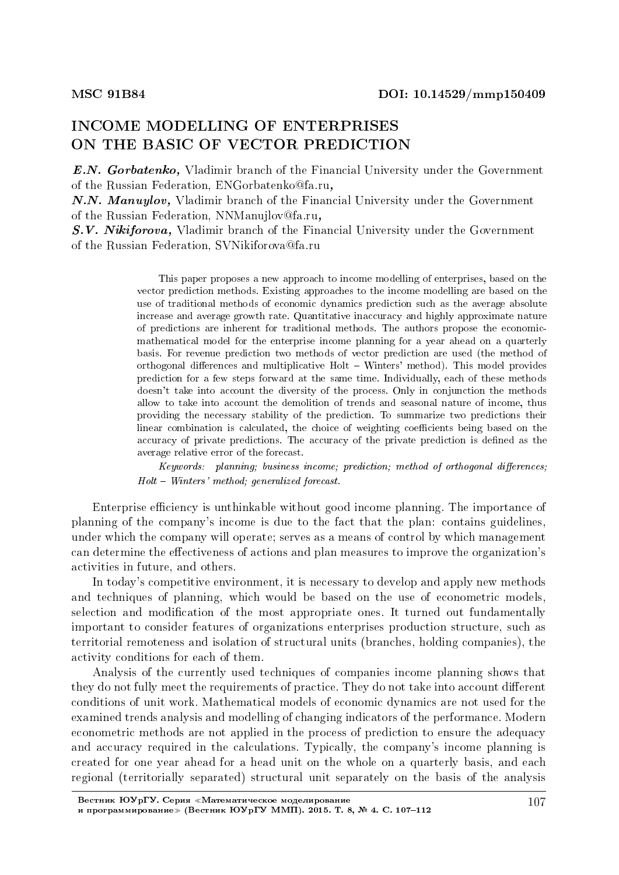# INCOME MODELLING OF ENTERPRISES ON THE BASIC OF VECTOR PREDICTION

E.N. Gorbatenko, Vladimir branch of the Financial University under the Government of the Russian Federation, ENGorbatenko@fa.ru,

N.N. Manuylov, Vladimir branch of the Financial University under the Government of the Russian Federation, NNManujlov@fa.ru,

S.V. Nikiforova, Vladimir branch of the Financial University under the Government of the Russian Federation, SVNikiforova@fa.ru

> This paper proposes a new approach to income modelling of enterprises, based on the vector prediction methods. Existing approaches to the income modelling are based on the use of traditional methods of economic dynamics prediction such as the average absolute increase and average growth rate. Quantitative inaccuracy and highly approximate nature of predictions are inherent for traditional methods. The authors propose the economicmathematical model for the enterprise income planning for a year ahead on a quarterly basis. For revenue prediction two methods of vector prediction are used (the method of orthogonal differences and multiplicative Holt - Winters' method). This model provides prediction for a few steps forward at the same time. Individually, each of these methods doesn't take into account the diversity of the process. Only in conjunction the methods allow to take into account the demolition of trends and seasonal nature of income, thus providing the necessary stability of the prediction. To summarize two predictions their linear combination is calculated, the choice of weighting coefficients being based on the accuracy of private predictions. The accuracy of the private prediction is dened as the average relative error of the forecast.

> $Keywords:$  planning; business income; prediction; method of orthogonal differences;  $Holt - Winters' method; generalized forceast.$

Enterprise efficiency is unthinkable without good income planning. The importance of planning of the company's income is due to the fact that the plan: contains guidelines, under which the company will operate; serves as a means of control by which management can determine the effectiveness of actions and plan measures to improve the organization's activities in future, and others.

In today's competitive environment, it is necessary to develop and apply new methods and techniques of planning, which would be based on the use of econometric models, selection and modification of the most appropriate ones. It turned out fundamentally important to consider features of organizations enterprises production structure, such as territorial remoteness and isolation of structural units (branches, holding companies), the activity conditions for each of them.

Analysis of the currently used techniques of companies income planning shows that they do not fully meet the requirements of practice. They do not take into account different conditions of unit work. Mathematical models of economic dynamics are not used for the examined trends analysis and modelling of changing indicators of the performance. Modern econometric methods are not applied in the process of prediction to ensure the adequacy and accuracy required in the calculations. Typically, the company's income planning is created for one year ahead for a head unit on the whole on a quarterly basis, and each regional (territorially separated) structural unit separately on the basis of the analysis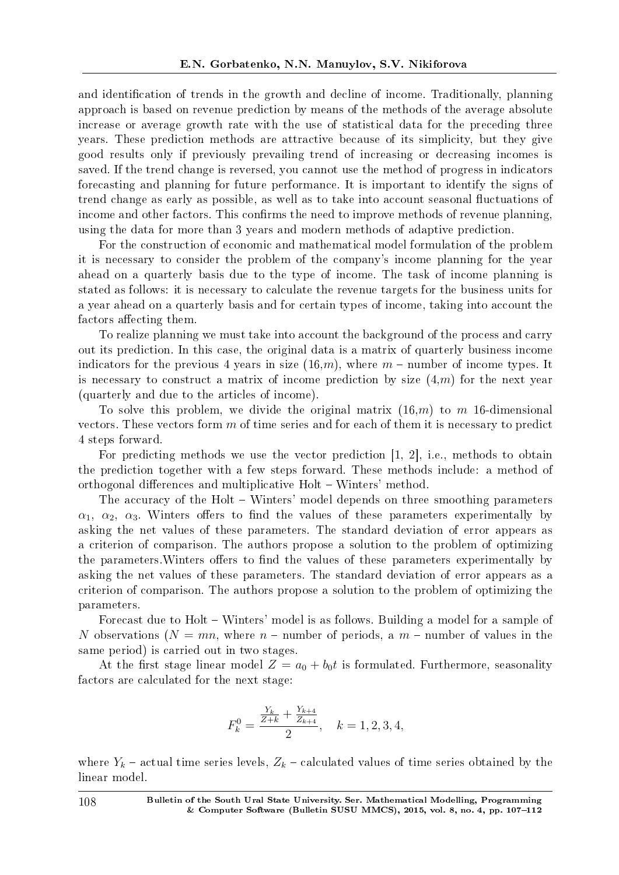and identification of trends in the growth and decline of income. Traditionally, planning approach is based on revenue prediction by means of the methods of the average absolute increase or average growth rate with the use of statistical data for the preceding three years. These prediction methods are attractive because of its simplicity, but they give good results only if previously prevailing trend of increasing or decreasing incomes is saved. If the trend change is reversed, you cannot use the method of progress in indicators forecasting and planning for future performance. It is important to identify the signs of trend change as early as possible, as well as to take into account seasonal fluctuations of income and other factors. This confirms the need to improve methods of revenue planning, using the data for more than 3 years and modern methods of adaptive prediction.

For the construction of economic and mathematical model formulation of the problem it is necessary to consider the problem of the company's income planning for the year ahead on a quarterly basis due to the type of income. The task of income planning is stated as follows: it is necessary to calculate the revenue targets for the business units for a year ahead on a quarterly basis and for certain types of income, taking into account the factors affecting them.

To realize planning we must take into account the background of the process and carry out its prediction. In this case, the original data is a matrix of quarterly business income indicators for the previous 4 years in size  $(16,m)$ , where  $m$  – number of income types. It is necessary to construct a matrix of income prediction by size (4,*m*) for the next year (quarterly and due to the articles of income).

To solve this problem, we divide the original matrix (16,*m*) to *m* 16-dimensional vectors. These vectors form *m* of time series and for each of them it is necessary to predict 4 steps forward.

For predicting methods we use the vector prediction [1, 2], i.e., methods to obtain the prediction together with a few steps forward. These methods include: a method of orthogonal differences and multiplicative Holt – Winters' method.

The accuracy of the Holt – Winters' model depends on three smoothing parameters  $\alpha_1$ ,  $\alpha_2$ ,  $\alpha_3$ . Winters offers to find the values of these parameters experimentally by asking the net values of these parameters. The standard deviation of error appears as a criterion of comparison. The authors propose a solution to the problem of optimizing the parameters. Winters offers to find the values of these parameters experimentally by asking the net values of these parameters. The standard deviation of error appears as a criterion of comparison. The authors propose a solution to the problem of optimizing the parameters.

Forecast due to Holt – Winters' model is as follows. Building a model for a sample of *N* observations ( $N = mn$ , where  $n -$  number of periods, a  $m -$  number of values in the same period) is carried out in two stages.

At the first stage linear model  $Z = a_0 + b_0 t$  is formulated. Furthermore, seasonality factors are calculated for the next stage:

$$
F_k^0 = \frac{\frac{Y_k}{Z+k} + \frac{Y_{k+4}}{Z_{k+4}}}{2}, \quad k = 1, 2, 3, 4,
$$

where  $Y_k$  – actual time series levels,  $Z_k$  – calculated values of time series obtained by the linear model.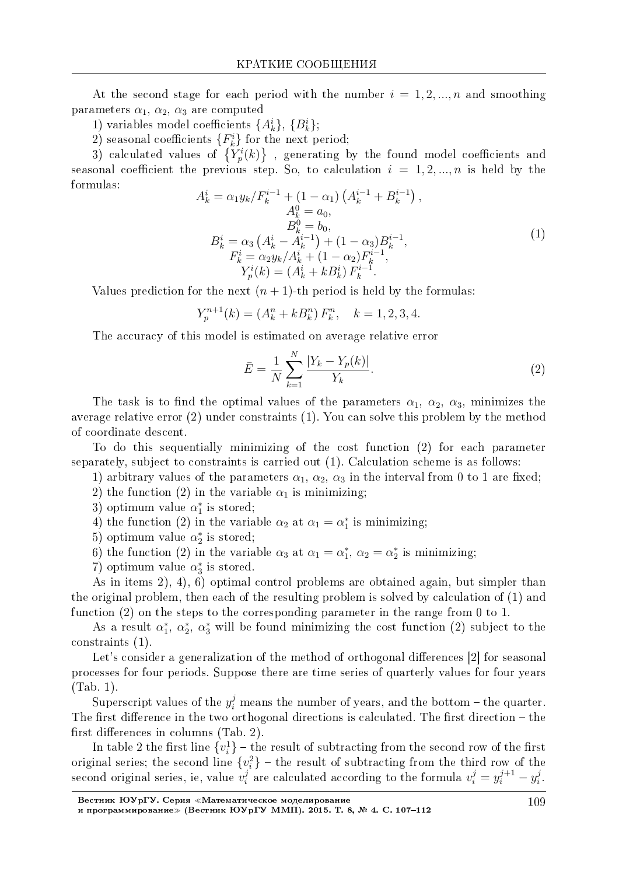At the second stage for each period with the number  $i = 1, 2, ..., n$  and smoothing parameters  $\alpha_1$ ,  $\alpha_2$ ,  $\alpha_3$  are computed

1) variables model coefficients  $\{A_k^i\}, \{B_k^i\};$ 

2) seasonal coefficients  ${F<sub>k</sub><sup>i</sup>}$  for the next period;

3) calculated values of  $\{Y_p^i(k)\}\;$ , generating by the found model coefficients and seasonal coefficient the previous step. So, to calculation  $i = 1, 2, ..., n$  is held by the formulas:

$$
A_{k}^{i} = \alpha_{1} y_{k} / F_{k}^{i-1} + (1 - \alpha_{1}) \left( A_{k}^{i-1} + B_{k}^{i-1} \right),
$$
  
\n
$$
A_{k}^{0} = a_{0},
$$
  
\n
$$
B_{k}^{0} = b_{0},
$$
  
\n
$$
B_{k}^{i} = \alpha_{3} \left( A_{k}^{i} - A_{k}^{i-1} \right) + (1 - \alpha_{3}) B_{k}^{i-1},
$$
  
\n
$$
F_{k}^{i} = \alpha_{2} y_{k} / A_{k}^{i} + (1 - \alpha_{2}) F_{k}^{i-1},
$$
  
\n
$$
Y_{p}^{i}(k) = \left( A_{k}^{i} + k B_{k}^{i} \right) F_{k}^{i-1}.
$$
  
\n(1)

Values prediction for the next  $(n + 1)$ -th period is held by the formulas:

$$
Y_p^{n+1}(k) = (A_k^n + kB_k^n) F_k^n, \quad k = 1, 2, 3, 4.
$$

The accuracy of this model is estimated on average relative error

$$
\bar{E} = \frac{1}{N} \sum_{k=1}^{N} \frac{|Y_k - Y_p(k)|}{Y_k}.
$$
\n(2)

The task is to find the optimal values of the parameters  $\alpha_1$ ,  $\alpha_2$ ,  $\alpha_3$ , minimizes the average relative error  $(2)$  under constraints  $(1)$ . You can solve this problem by the method of coordinate descent.

To do this sequentially minimizing of the cost function (2) for each parameter separately, subject to constraints is carried out  $(1)$ . Calculation scheme is as follows:

1) arbitrary values of the parameters  $\alpha_1$ ,  $\alpha_2$ ,  $\alpha_3$  in the interval from 0 to 1 are fixed; 2) the function (2) in the variable  $\alpha_1$  is minimizing.

3) optimum value  $\alpha_1^*$  is stored;

4) the function (2) in the variable  $\alpha_2$  at  $\alpha_1 = \alpha_1^*$  is minimizing;

- 5) optimum value  $\alpha_2^*$  is stored;
- 6) the function (2) in the variable  $\alpha_3$  at  $\alpha_1 = \alpha_1^*$ ,  $\alpha_2 = \alpha_2^*$  is minimizing;
- 7) optimum value  $\alpha_3^*$  is stored.

As in items  $2$ ,  $4$ ,  $6$ ) optimal control problems are obtained again, but simpler than the original problem, then each of the resulting problem is solved by calculation of  $(1)$  and function  $(2)$  on the steps to the corresponding parameter in the range from 0 to 1.

As a result  $\alpha_1^*, \alpha_2^*, \alpha_3^*$  will be found minimizing the cost function (2) subject to the constraints  $(1)$ .

Let's consider a generalization of the method of orthogonal differences [2] for seasonal processes for four periods. Suppose there are time series of quarterly values for four years  $(Tab. 1)$ .

Superscript values of the  $y_i^j$  means the number of years, and the bottom – the quarter. The first difference in the two orthogonal directions is calculated. The first direction  $-$  the first differences in columns (Tab. 2).

In table 2 the first line  $\{v_i^1\}$  – the result of subtracting from the second row of the first original series; the second line  $\{v_i^2\}$  – the result of subtracting from the third row of the second original series, ie, value  $v_i^j$  are calculated according to the formula  $v_i^j = y_i^{j+1} - y_i^j$ .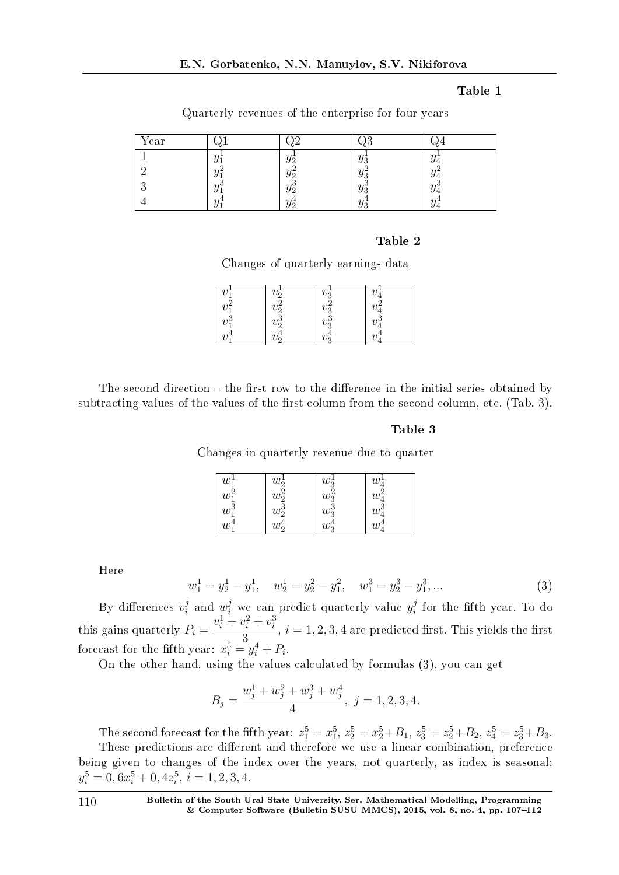## Table 1

| Year | $\sim$ |  |  |
|------|--------|--|--|
|      |        |  |  |
|      |        |  |  |
|      |        |  |  |
|      |        |  |  |

Quarterly revenues of the enterprise for four years

### Table 2

Changes of quarterly earnings data

| $v_1$    | $v_{\mathcal{D}}^{\perp}$   | $v_{2}$             | $\mathbf{a}$ |
|----------|-----------------------------|---------------------|--------------|
|          | $\sim$<br>$v_{\mathcal{D}}$ | $\Omega$<br>υ       |              |
| $v_1^3$  | $v_2^{\bar{3}}$             | -ō<br>$v_2^{\circ}$ | $\eta$       |
| $\eta$ . |                             |                     |              |

The second direction  $-$  the first row to the difference in the initial series obtained by subtracting values of the values of the first column from the second column, etc. (Tab. 3).

#### Table 3

Changes in quarterly revenue due to quarter

| $w_1^{\perp}$ | $w_2^{\perp}$        | $w_3^1$ | w <sub>i</sub> |
|---------------|----------------------|---------|----------------|
| $w_1^2$       | $w_2^2$              | $w_3^2$ | w,             |
| $w_1^3$       | $w_2^{\overline{3}}$ | $w_3^3$ | $w^3$          |
| $w_1$         | $w_2^*$              | $w_3^4$ | w              |

Here

$$
w_1^1 = y_2^1 - y_1^1, \quad w_2^1 = y_2^2 - y_1^2, \quad w_1^3 = y_2^3 - y_1^3, \dots
$$
\n(3)

By differences  $v_i^j$  $y_i^j$  and  $w_i^j$  we can predict quarterly value  $y_i^j$  $v_i^j$  for the fifth year. To do this gains quarterly  $P_i =$  $v_i^1 + v_i^2 + v_i^3$  $\frac{\sigma_i}{3}$ ,  $i = 1, 2, 3, 4$  are predicted first. This yields the first forecast for the fifth year:  $x_i^5 = y_i^4 + P_i$ .

On the other hand, using the values calculated by formulas (3), you can get

$$
B_j = \frac{w_j^1 + w_j^2 + w_j^3 + w_j^4}{4}, \ j = 1, 2, 3, 4.
$$

The second forecast for the fifth year:  $z_1^5 = x_1^5$ ,  $z_2^5 = x_2^5 + B_1$ ,  $z_3^5 = z_2^5 + B_2$ ,  $z_4^5 = z_3^5 + B_3$ . These predictions are different and therefore we use a linear combination, preference being given to changes of the index over the years, not quarterly, as index is seasonal:  $y_i^5 = 0, 6x_i^5 + 0, 4z_i^5, i = 1, 2, 3, 4.$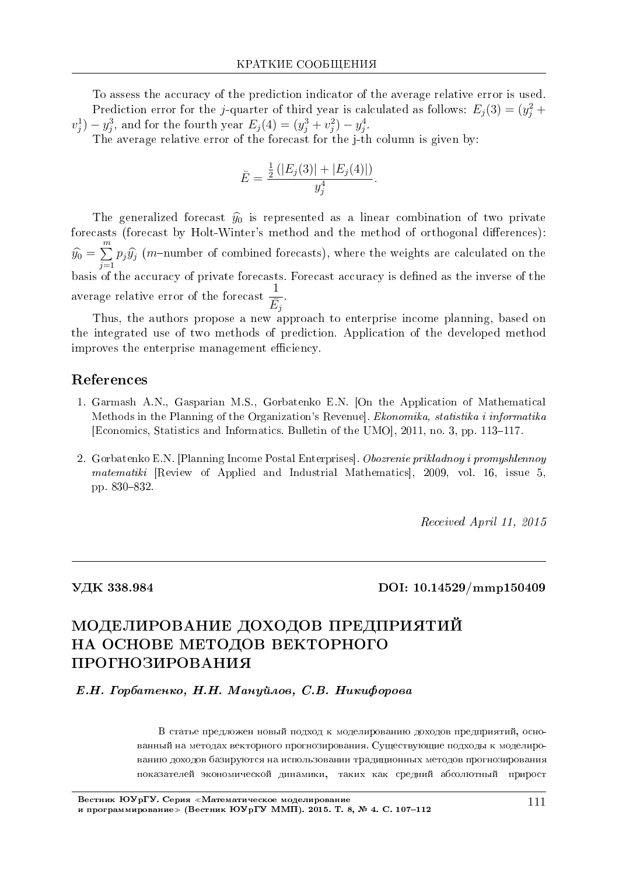To assess the accuracy of the prediction indicator of the average relative error is used. Prediction error for the *j*-quarter of third year is calculated as follows:  $E_j(3) = (y_j^2 + y_j^2)$  $v_j^1$ ) *−*  $y_j^3$ , and for the fourth year  $E_j(4) = (y_j^3 + v_j^2) - y_j^4$ .

The average relative error of the forecast for the j-th column is given by:

$$
\bar{E} = \frac{\frac{1}{2}(|E_j(3)| + |E_j(4)|)}{y_j^4}.
$$

The generalized forecast  $\hat{y}_0$  is represented as a linear combination of two private forecasts (forecast by Holt-Winter's method and the method of orthogonal differences):  $\widehat{y}_0 =$ ∑*m*  $\sum_{j=1} p_j \widehat{y}_j$  (*m*-number of combined forecasts), where the weights are calculated on the basis of the accuracy of private forecasts. Forecast accuracy is defined as the inverse of the average relative error of the forecast  $\frac{1}{\sqrt{2}}$  $\bar{E}_j$ .

Thus, the authors propose a new approach to enterprise income planning, based on the integrated use of two methods of prediction. Application of the developed method improves the enterprise management efficiency.

# References

- 1. Garmash A.N., Gasparian M.S., Gorbatenko E.N. [On the Application of Mathematical Methods in the Planning of the Organization's Revenue]. Ekonomika, statistika i informatika [Economics, Statistics and Informatics. Bulletin of the UMO],  $2011$ , no. 3, pp. 113–117.
- 2. Gorbatenko E.N. [Planning Income Postal Enterprises]. Obozrenie prikladnoy i promyshlennoy matematiki [Review of Applied and Industrial Mathematics], 2009, vol. 16, issue 5, pp. 830-832.

Received April 11, 2015

## ÓÄÊ 338.984 DOI: 10.14529/mmp150409

# МОДЕЛИРОВАНИЕ ДОХОДОВ ПРЕДПРИЯТИЙ НА ОСНОВЕ МЕТОДОВ ВЕКТОРНОГО ПРОГНОЗИРОВАНИЯ

 $E.H.$  Горбатенко, Н.Н. Мануйлов, С.В. Никифорова

В статье предложен новый подход к моделированию доходов предприятий, основанный на методах векторного прогнозирования. Сушествующие подходы к моделированию доходов базируются на использовании традиционных методов прогнозирования показателей экономической линамики, таких как средний абсолютный прирост